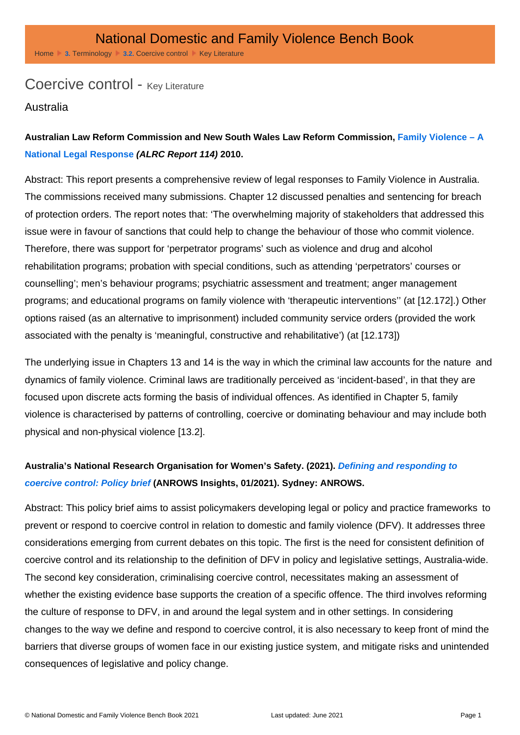# Coercive control - Key Literature

### Australia

Australian Law Reform Commission and New South Wales Law Reform Commission, Family Violence – A [National Legal Response](https://www.alrc.gov.au/publication/family-violence-a-national-legal-response-alrc-report-114/) (ALRC Report 114) 2010.

Abstract: This report presents a comprehensive review of legal responses to Family Violence in Australia. The commissions received many submissions. Chapter 12 discussed penalties and sentencing for breach of protection orders. The report notes that: 'The overwhelming majority of stakeholders that addressed this issue were in favour of sanctions that could help to change the behaviour of those who commit violence. Therefore, there was support for 'perpetrator programs' such as violence and drug and alcohol rehabilitation programs; probation with special conditions, such as attending 'perpetrators' courses or counselling'; men's behaviour programs; psychiatric assessment and treatment; anger management programs; and educational programs on family violence with 'therapeutic interventions'' (at [12.172].) Other options raised (as an alternative to imprisonment) included community service orders (provided the work associated with the penalty is 'meaningful, constructive and rehabilitative') (at [12.173])

The underlying issue in Chapters 13 and 14 is the way in which the criminal law accounts for the nature and dynamics of family violence. Criminal laws are traditionally perceived as 'incident-based', in that they are focused upon discrete acts forming the basis of individual offences. As identified in Chapter 5, family violence is characterised by patterns of controlling, coercive or dominating behaviour and may include both physical and non-physical violence [13.2].

Australia's National Research Organisation for Women's Safety. (2021). [Defining and responding to](https://www.anrows.org.au/publication/defining-and-responding-to-coercive-control/)  [coercive control: Policy brief](https://www.anrows.org.au/publication/defining-and-responding-to-coercive-control/) (ANROWS Insights, 01/2021). Sydney: ANROWS.

Abstract: This policy brief aims to assist policymakers developing legal or policy and practice frameworks to prevent or respond to coercive control in relation to domestic and family violence (DFV). It addresses three considerations emerging from current debates on this topic. The first is the need for consistent definition of coercive control and its relationship to the definition of DFV in policy and legislative settings, Australia-wide. The second key consideration, criminalising coercive control, necessitates making an assessment of whether the existing evidence base supports the creation of a specific offence. The third involves reforming the culture of response to DFV, in and around the legal system and in other settings. In considering changes to the way we define and respond to coercive control, it is also necessary to keep front of mind the barriers that diverse groups of women face in our existing justice system, and mitigate risks and unintended consequences of legislative and policy change.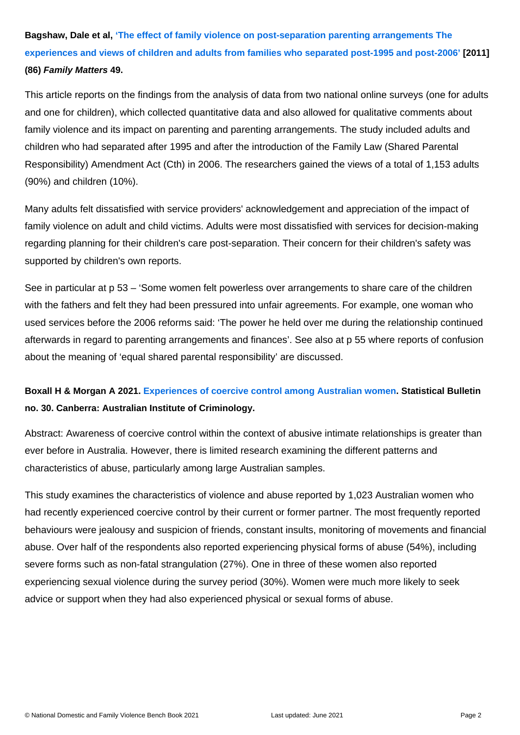Bagshaw, Dale et al, ['The effect of family violence on post-separation parenting arrangements The](https://aifs.gov.au/publications/family-matters/issue-86/effect-family-violence-post-separation-parenting-arrangements)  [experiences and views of children and adults from families who separated post-1995 and post-2006'](https://aifs.gov.au/publications/family-matters/issue-86/effect-family-violence-post-separation-parenting-arrangements) [2011] (86) Family Matters 49.

This article reports on the findings from the analysis of data from two national online surveys (one for adults and one for children), which collected quantitative data and also allowed for qualitative comments about family violence and its impact on parenting and parenting arrangements. The study included adults and children who had separated after 1995 and after the introduction of the Family Law (Shared Parental Responsibility) Amendment Act (Cth) in 2006. The researchers gained the views of a total of 1,153 adults (90%) and children (10%).

Many adults felt dissatisfied with service providers' acknowledgement and appreciation of the impact of family violence on adult and child victims. Adults were most dissatisfied with services for decision-making regarding planning for their children's care post-separation. Their concern for their children's safety was supported by children's own reports.

See in particular at p 53 – 'Some women felt powerless over arrangements to share care of the children with the fathers and felt they had been pressured into unfair agreements. For example, one woman who used services before the 2006 reforms said: 'The power he held over me during the relationship continued afterwards in regard to parenting arrangements and finances'. See also at p 55 where reports of confusion about the meaning of 'equal shared parental responsibility' are discussed.

Boxall H & Morgan A 2021. [Experiences of coercive control among Australian women](https://www.aic.gov.au/publications/sb/sb30) . Statistical Bulletin no. 30. Canberra: Australian Institute of Criminology.

Abstract: Awareness of coercive control within the context of abusive intimate relationships is greater than ever before in Australia. However, there is limited research examining the different patterns and characteristics of abuse, particularly among large Australian samples.

This study examines the characteristics of violence and abuse reported by 1,023 Australian women who had recently experienced coercive control by their current or former partner. The most frequently reported behaviours were jealousy and suspicion of friends, constant insults, monitoring of movements and financial abuse. Over half of the respondents also reported experiencing physical forms of abuse (54%), including severe forms such as non-fatal strangulation (27%). One in three of these women also reported experiencing sexual violence during the survey period (30%). Women were much more likely to seek advice or support when they had also experienced physical or sexual forms of abuse.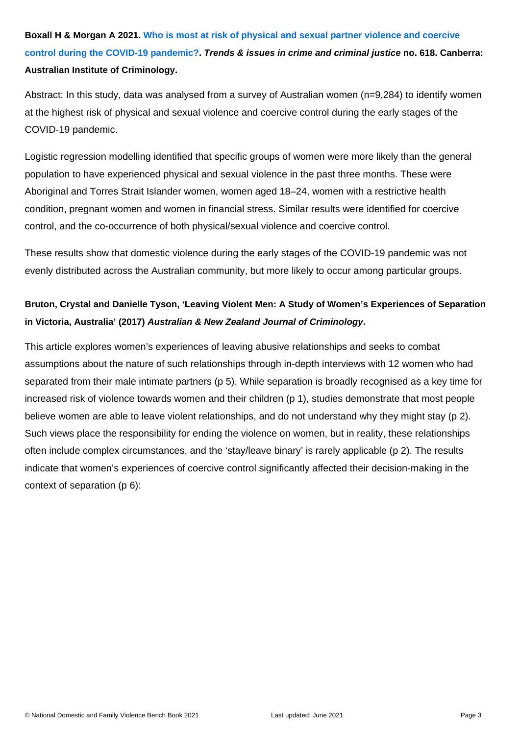Boxall H & Morgan A 2021. [Who is most at risk of physical and sexual partner violence and coercive](https://www.aic.gov.au/publications/tandi/tandi618)  [control during the COVID-19 pandemic?](https://www.aic.gov.au/publications/tandi/tandi618) . Trends & issues in crime and criminal justice no. 618. Canberra: Australian Institute of Criminology.

Abstract: In this study, data was analysed from a survey of Australian women (n=9,284) to identify women at the highest risk of physical and sexual violence and coercive control during the early stages of the COVID-19 pandemic.

Logistic regression modelling identified that specific groups of women were more likely than the general population to have experienced physical and sexual violence in the past three months. These were Aboriginal and Torres Strait Islander women, women aged 18–24, women with a restrictive health condition, pregnant women and women in financial stress. Similar results were identified for coercive control, and the co-occurrence of both physical/sexual violence and coercive control.

These results show that domestic violence during the early stages of the COVID-19 pandemic was not evenly distributed across the Australian community, but more likely to occur among particular groups.

Bruton, Crystal and Danielle Tyson, 'Leaving Violent Men: A Study of Women's Experiences of Separation in Victoria, Australia' (2017) Australian & New Zealand Journal of Criminology .

This article explores women's experiences of leaving abusive relationships and seeks to combat assumptions about the nature of such relationships through in-depth interviews with 12 women who had separated from their male intimate partners (p 5). While separation is broadly recognised as a key time for increased risk of violence towards women and their children (p 1), studies demonstrate that most people believe women are able to leave violent relationships, and do not understand why they might stay (p 2). Such views place the responsibility for ending the violence on women, but in reality, these relationships often include complex circumstances, and the 'stay/leave binary' is rarely applicable (p 2). The results indicate that women's experiences of coercive control significantly affected their decision-making in the context of separation (p 6):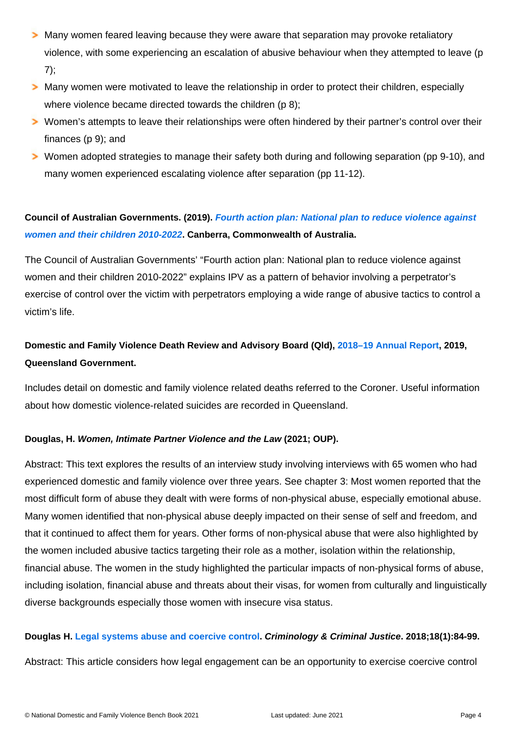Many women feared leaving because they were aware that separation may provoke retaliatory violence, with some experiencing an escalation of abusive behaviour when they attempted to leave (p 7);

Many women were motivated to leave the relationship in order to protect their children, especially where violence became directed towards the children (p 8);

Women's attempts to leave their relationships were often hindered by their partner's control over their finances (p 9); and

Women adopted strategies to manage their safety both during and following separation (pp 9-10), and many women experienced escalating violence after separation (pp 11-12).

Council of Australian Governments. (2019). [Fourth action plan: National plan to reduce violence against](https://www.dss.gov.au/women-publications-articles-reducing-violence/fourth-action-plan)  [women and their children 2010-2022](https://www.dss.gov.au/women-publications-articles-reducing-violence/fourth-action-plan) . Canberra, Commonwealth of Australia.

The Council of Australian Governments' "Fourth action plan: National plan to reduce violence against women and their children 2010-2022" explains IPV as a pattern of behavior involving a perpetrator's exercise of control over the victim with perpetrators employing a wide range of abusive tactics to control a victim's life.

Domestic and Family Violence Death Review and Advisory Board (Qld), [2018–19 Annual Report](https://www.courts.qld.gov.au/__data/assets/pdf_file/0006/630159/domestic-and-family-violence-death-review-and-advisory-board-annual-report-2018-19.pdf) , 2019, Queensland Government.

Includes detail on domestic and family violence related deaths referred to the Coroner. Useful information about how domestic violence-related suicides are recorded in Queensland.

Douglas, H. Women, Intimate Partner Violence and the Law (2021; OUP).

Abstract: This text explores the results of an interview study involving interviews with 65 women who had experienced domestic and family violence over three years. See chapter 3: Most women reported that the most difficult form of abuse they dealt with were forms of non-physical abuse, especially emotional abuse. Many women identified that non-physical abuse deeply impacted on their sense of self and freedom, and that it continued to affect them for years. Other forms of non-physical abuse that were also highlighted by the women included abusive tactics targeting their role as a mother, isolation within the relationship, financial abuse. The women in the study highlighted the particular impacts of non-physical forms of abuse, including isolation, financial abuse and threats about their visas, for women from culturally and linguistically diverse backgrounds especially those women with insecure visa status.

Douglas H. [Legal systems abuse and coercive control](https://journals.sagepub.com/doi/abs/10.1177/1748895817728380) . Criminology & Criminal Justice . 2018;18(1):84-99. Abstract: This article considers how legal engagement can be an opportunity to exercise coercive control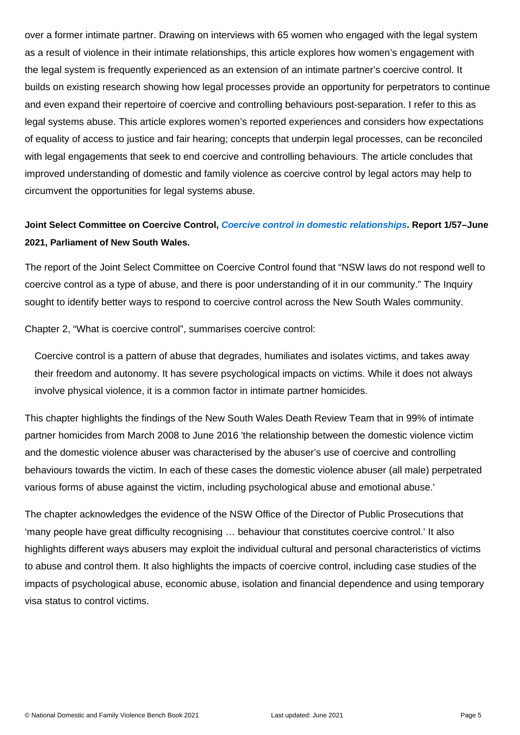over a former intimate partner. Drawing on interviews with 65 women who engaged with the legal system as a result of violence in their intimate relationships, this article explores how women's engagement with the legal system is frequently experienced as an extension of an intimate partner's coercive control. It builds on existing research showing how legal processes provide an opportunity for perpetrators to continue and even expand their repertoire of coercive and controlling behaviours post-separation. I refer to this as legal systems abuse. This article explores women's reported experiences and considers how expectations of equality of access to justice and fair hearing; concepts that underpin legal processes, can be reconciled with legal engagements that seek to end coercive and controlling behaviours. The article concludes that improved understanding of domestic and family violence as coercive control by legal actors may help to circumvent the opportunities for legal systems abuse.

Joint Select Committee on Coercive Control, [Coercive control in domestic relationships](https://www.parliament.nsw.gov.au/ladocs/inquiries/2626/Report - coercive control in domestic relationships.pdf) . Report 1/57–June 2021, Parliament of New South Wales.

The report of the Joint Select Committee on Coercive Control found that "NSW laws do not respond well to coercive control as a type of abuse, and there is poor understanding of it in our community." The Inquiry sought to identify better ways to respond to coercive control across the New South Wales community.

Chapter 2, "What is coercive control", summarises coercive control:

Coercive control is a pattern of abuse that degrades, humiliates and isolates victims, and takes away their freedom and autonomy. It has severe psychological impacts on victims. While it does not always involve physical violence, it is a common factor in intimate partner homicides.

This chapter highlights the findings of the New South Wales Death Review Team that in 99% of intimate partner homicides from March 2008 to June 2016 'the relationship between the domestic violence victim and the domestic violence abuser was characterised by the abuser's use of coercive and controlling behaviours towards the victim. In each of these cases the domestic violence abuser (all male) perpetrated various forms of abuse against the victim, including psychological abuse and emotional abuse.'

The chapter acknowledges the evidence of the NSW Office of the Director of Public Prosecutions that 'many people have great difficulty recognising … behaviour that constitutes coercive control.' It also highlights different ways abusers may exploit the individual cultural and personal characteristics of victims to abuse and control them. It also highlights the impacts of coercive control, including case studies of the impacts of psychological abuse, economic abuse, isolation and financial dependence and using temporary visa status to control victims.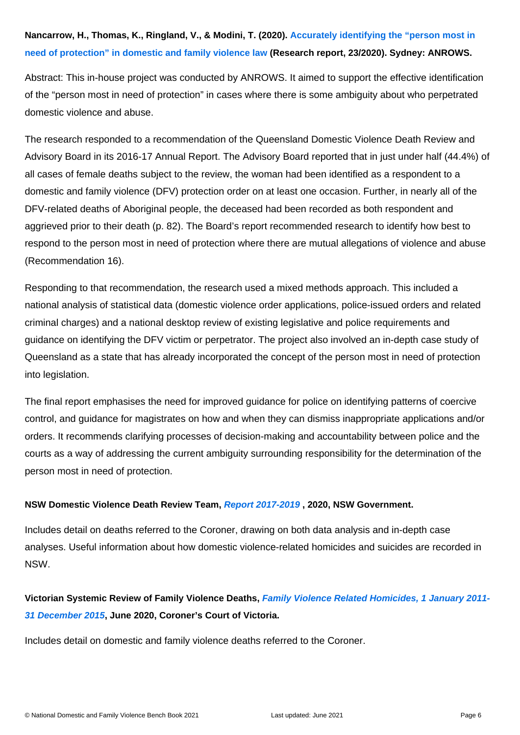Abstract: This in-house project was conducted by ANROWS. It aimed to support the effective identification of the "person most in need of protection" in cases where there is some ambiguity about who perpetrated domestic violence and abuse.

The research responded to a recommendation of the Queensland Domestic Violence Death Review and Advisory Board in its 2016-17 Annual Report. The Advisory Board reported that in just under half (44.4%) of all cases of female deaths subject to the review, the woman had been identified as a respondent to a domestic and family violence (DFV) protection order on at least one occasion. Further, in nearly all of the DFV-related deaths of Aboriginal people, the deceased had been recorded as both respondent and aggrieved prior to their death (p. 82). The Board's report recommended research to identify how best to respond to the person most in need of protection where there are mutual allegations of violence and abuse (Recommendation 16).

Responding to that recommendation, the research used a mixed methods approach. This included a national analysis of statistical data (domestic violence order applications, police-issued orders and related criminal charges) and a national desktop review of existing legislative and police requirements and guidance on identifying the DFV victim or perpetrator. The project also involved an in-depth case study of Queensland as a state that has already incorporated the concept of the person most in need of protection into legislation.

The final report emphasises the need for improved guidance for police on identifying patterns of coercive control, and guidance for magistrates on how and when they can dismiss inappropriate applications and/or orders. It recommends clarifying processes of decision-making and accountability between police and the courts as a way of addressing the current ambiguity surrounding responsibility for the determination of the person most in need of protection.

NSW Domestic Violence Death Review Team, [Report 2017-2019](https://coroners.nsw.gov.au/content/dam/dcj/ctsd/coronerscourt/documents/reports/2017-2019_DVDRT_Report.pdf) , 2020, NSW Government.

Includes detail on deaths referred to the Coroner, drawing on both data analysis and in-depth case analyses. Useful information about how domestic violence-related homicides and suicides are recorded in NSW.

Victorian Systemic Review of Family Violence Deaths, [Family Violence Related Homicides, 1 January 2011-](https://www.coronerscourt.vic.gov.au/sites/default/files/2020-06/VSRFVD Report 2011 - 2015 - FINAL - June 2020.pdf) [31 December 2015](https://www.coronerscourt.vic.gov.au/sites/default/files/2020-06/VSRFVD Report 2011 - 2015 - FINAL - June 2020.pdf) , June 2020, Coroner's Court of Victoria.

Includes detail on domestic and family violence deaths referred to the Coroner.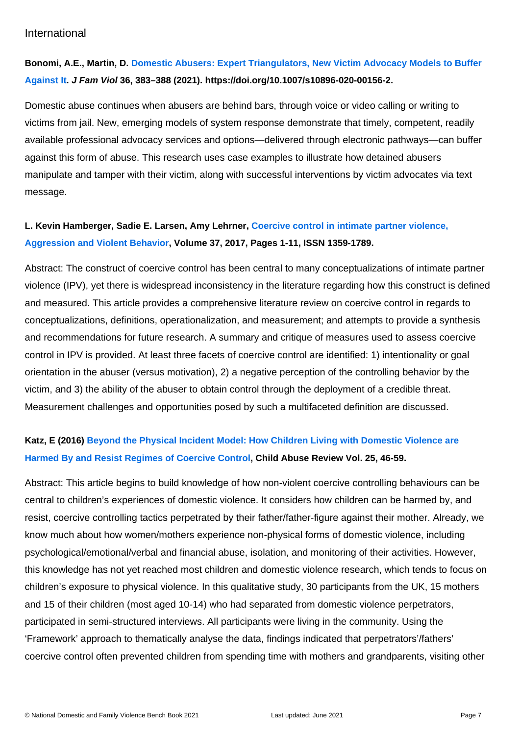#### International

Bonomi, A.E., Martin, D. [Domestic Abusers: Expert Triangulators, New Victim Advocacy Models to Buffer](https://link.springer.com/content/pdf/10.1007/s10896-020-00156-2.pdf)  [Against It](https://link.springer.com/content/pdf/10.1007/s10896-020-00156-2.pdf) . J Fam Viol 36, 383–388 (2021). https://doi.org/10.1007/s10896-020-00156-2.

Domestic abuse continues when abusers are behind bars, through voice or video calling or writing to victims from jail. New, emerging models of system response demonstrate that timely, competent, readily available professional advocacy services and options—delivered through electronic pathways—can buffer against this form of abuse. This research uses case examples to illustrate how detained abusers manipulate and tamper with their victim, along with successful interventions by victim advocates via text message.

L. Kevin Hamberger, Sadie E. Larsen, Amy Lehrner, [Coercive control in intimate partner violence,](https://www.sciencedirect.com/science/article/pii/S1359178917300940)  [Aggression and Violent Behavior](https://www.sciencedirect.com/science/article/pii/S1359178917300940) , Volume 37, 2017, Pages 1-11, ISSN 1359-1789.

Abstract: The construct of coercive control has been central to many conceptualizations of intimate partner violence (IPV), yet there is widespread inconsistency in the literature regarding how this construct is defined and measured. This article provides a comprehensive literature review on coercive control in regards to conceptualizations, definitions, operationalization, and measurement; and attempts to provide a synthesis and recommendations for future research. A summary and critique of measures used to assess coercive control in IPV is provided. At least three facets of coercive control are identified: 1) intentionality or goal orientation in the abuser (versus motivation), 2) a negative perception of the controlling behavior by the victim, and 3) the ability of the abuser to obtain control through the deployment of a credible threat. Measurement challenges and opportunities posed by such a multifaceted definition are discussed.

# Katz, E (2016) [Beyond the Physical Incident Model: How Children Living with Domestic Violence are](https://www.researchgate.net/publication/281633706_Beyond_the_Physical_Incident_Model_How_Children_Living_with_Domestic_Violence_are_Harmed_By_and_Resist_Regimes_of_Coercive_Control)  [Harmed By and Resist Regimes of Coercive Control](https://www.researchgate.net/publication/281633706_Beyond_the_Physical_Incident_Model_How_Children_Living_with_Domestic_Violence_are_Harmed_By_and_Resist_Regimes_of_Coercive_Control) , Child Abuse Review Vol. 25, 46-59.

Abstract: This article begins to build knowledge of how non-violent coercive controlling behaviours can be central to children's experiences of domestic violence. It considers how children can be harmed by, and resist, coercive controlling tactics perpetrated by their father/father-figure against their mother. Already, we know much about how women/mothers experience non-physical forms of domestic violence, including psychological/emotional/verbal and financial abuse, isolation, and monitoring of their activities. However, this knowledge has not yet reached most children and domestic violence research, which tends to focus on children's exposure to physical violence. In this qualitative study, 30 participants from the UK, 15 mothers and 15 of their children (most aged 10-14) who had separated from domestic violence perpetrators, participated in semi-structured interviews. All participants were living in the community. Using the 'Framework' approach to thematically analyse the data, findings indicated that perpetrators'/fathers' coercive control often prevented children from spending time with mothers and grandparents, visiting other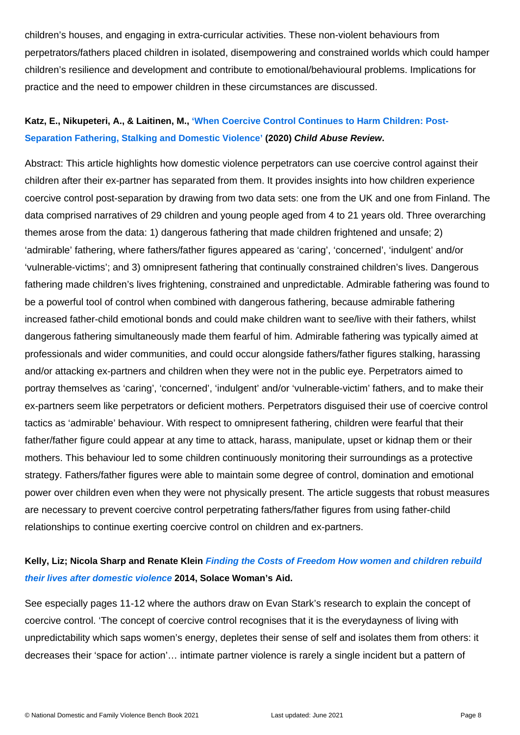children's houses, and engaging in extra-curricular activities. These non-violent behaviours from perpetrators/fathers placed children in isolated, disempowering and constrained worlds which could hamper children's resilience and development and contribute to emotional/behavioural problems. Implications for practice and the need to empower children in these circumstances are discussed.

# Katz, E., Nikupeteri, A., & Laitinen, M., ['When Coercive Control Continues to Harm Children: Post-](https://onlinelibrary.wiley.com/doi/full/10.1002/car.2611)[Separation Fathering, Stalking and Domestic Violence'](https://onlinelibrary.wiley.com/doi/full/10.1002/car.2611) (2020) Child Abuse Review .

Abstract: This article highlights how domestic violence perpetrators can use coercive control against their children after their ex-partner has separated from them. It provides insights into how children experience coercive control post-separation by drawing from two data sets: one from the UK and one from Finland. The data comprised narratives of 29 children and young people aged from 4 to 21 years old. Three overarching themes arose from the data: 1) dangerous fathering that made children frightened and unsafe; 2) 'admirable' fathering, where fathers/father figures appeared as 'caring', 'concerned', 'indulgent' and/or 'vulnerable-victims'; and 3) omnipresent fathering that continually constrained children's lives. Dangerous fathering made children's lives frightening, constrained and unpredictable. Admirable fathering was found to be a powerful tool of control when combined with dangerous fathering, because admirable fathering increased father-child emotional bonds and could make children want to see/live with their fathers, whilst dangerous fathering simultaneously made them fearful of him. Admirable fathering was typically aimed at professionals and wider communities, and could occur alongside fathers/father figures stalking, harassing and/or attacking ex-partners and children when they were not in the public eye. Perpetrators aimed to portray themselves as 'caring', 'concerned', 'indulgent' and/or 'vulnerable-victim' fathers, and to make their ex-partners seem like perpetrators or deficient mothers. Perpetrators disguised their use of coercive control tactics as 'admirable' behaviour. With respect to omnipresent fathering, children were fearful that their father/father figure could appear at any time to attack, harass, manipulate, upset or kidnap them or their mothers. This behaviour led to some children continuously monitoring their surroundings as a protective strategy. Fathers/father figures were able to maintain some degree of control, domination and emotional power over children even when they were not physically present. The article suggests that robust measures are necessary to prevent coercive control perpetrating fathers/father figures from using father-child relationships to continue exerting coercive control on children and ex-partners.

# Kelly, Liz; Nicola Sharp and Renate Klein Finding the Costs of Freedom How women and children rebuild [their lives after domestic violence](http://repository.londonmet.ac.uk/1483/) 2014, Solace Woman's Aid.

See especially pages 11-12 where the authors draw on Evan Stark's research to explain the concept of coercive control. 'The concept of coercive control recognises that it is the everydayness of living with unpredictability which saps women's energy, depletes their sense of self and isolates them from others: it decreases their 'space for action'… intimate partner violence is rarely a single incident but a pattern of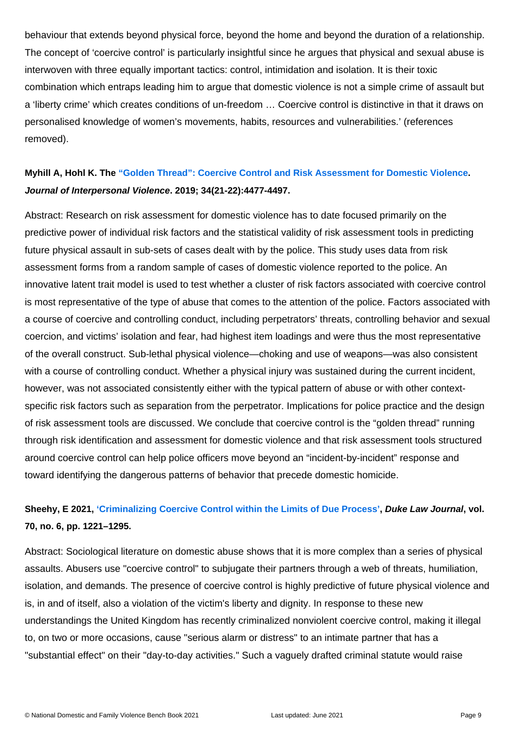behaviour that extends beyond physical force, beyond the home and beyond the duration of a relationship. The concept of 'coercive control' is particularly insightful since he argues that physical and sexual abuse is interwoven with three equally important tactics: control, intimidation and isolation. It is their toxic combination which entraps leading him to argue that domestic violence is not a simple crime of assault but a 'liberty crime' which creates conditions of un-freedom … Coercive control is distinctive in that it draws on personalised knowledge of women's movements, habits, resources and vulnerabilities.' (references removed).

Myhill A, Hohl K. The ["Golden Thread": Coercive Control and Risk Assessment for Domestic Violence](https://journals.sagepub.com/doi/10.1177/0886260516675464) . Journal of Interpersonal Violence . 2019; 34(21-22):4477-4497.

Abstract: Research on risk assessment for domestic violence has to date focused primarily on the predictive power of individual risk factors and the statistical validity of risk assessment tools in predicting future physical assault in sub-sets of cases dealt with by the police. This study uses data from risk assessment forms from a random sample of cases of domestic violence reported to the police. An innovative latent trait model is used to test whether a cluster of risk factors associated with coercive control is most representative of the type of abuse that comes to the attention of the police. Factors associated with a course of coercive and controlling conduct, including perpetrators' threats, controlling behavior and sexual coercion, and victims' isolation and fear, had highest item loadings and were thus the most representative of the overall construct. Sub-lethal physical violence—choking and use of weapons—was also consistent with a course of controlling conduct. Whether a physical injury was sustained during the current incident, however, was not associated consistently either with the typical pattern of abuse or with other contextspecific risk factors such as separation from the perpetrator. Implications for police practice and the design of risk assessment tools are discussed. We conclude that coercive control is the "golden thread" running through risk identification and assessment for domestic violence and that risk assessment tools structured around coercive control can help police officers move beyond an "incident-by-incident" response and toward identifying the dangerous patterns of behavior that precede domestic homicide.

Sheehy, E 2021, ['Criminalizing Coercive Control within the Limits of Due Process'](https://scholarship.law.duke.edu/dlj/vol70/iss6/2/), Duke Law Journal, vol. 70, no. 6, pp. 1221–1295.

Abstract: Sociological literature on domestic abuse shows that it is more complex than a series of physical assaults. Abusers use "coercive control" to subjugate their partners through a web of threats, humiliation, isolation, and demands. The presence of coercive control is highly predictive of future physical violence and is, in and of itself, also a violation of the victim's liberty and dignity. In response to these new understandings the United Kingdom has recently criminalized nonviolent coercive control, making it illegal to, on two or more occasions, cause "serious alarm or distress" to an intimate partner that has a "substantial effect" on their "day-to-day activities." Such a vaguely drafted criminal statute would raise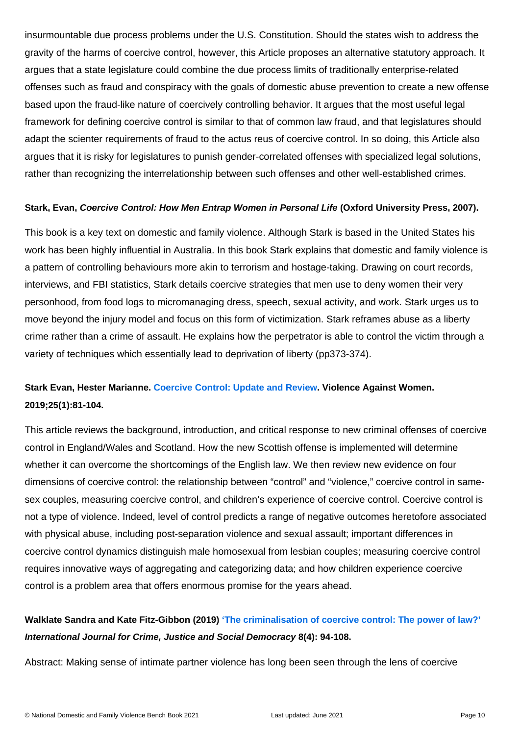insurmountable due process problems under the U.S. Constitution. Should the states wish to address the gravity of the harms of coercive control, however, this Article proposes an alternative statutory approach. It argues that a state legislature could combine the due process limits of traditionally enterprise-related offenses such as fraud and conspiracy with the goals of domestic abuse prevention to create a new offense based upon the fraud-like nature of coercively controlling behavior. It argues that the most useful legal framework for defining coercive control is similar to that of common law fraud, and that legislatures should adapt the scienter requirements of fraud to the actus reus of coercive control. In so doing, this Article also argues that it is risky for legislatures to punish gender-correlated offenses with specialized legal solutions, rather than recognizing the interrelationship between such offenses and other well-established crimes.

Stark, Evan, Coercive Control: How Men Entrap Women in Personal Life (Oxford University Press, 2007).

This book is a key text on domestic and family violence. Although Stark is based in the United States his work has been highly influential in Australia. In this book Stark explains that domestic and family violence is a pattern of controlling behaviours more akin to terrorism and hostage-taking. Drawing on court records, interviews, and FBI statistics, Stark details coercive strategies that men use to deny women their very personhood, from food logs to micromanaging dress, speech, sexual activity, and work. Stark urges us to move beyond the injury model and focus on this form of victimization. Stark reframes abuse as a liberty crime rather than a crime of assault. He explains how the perpetrator is able to control the victim through a variety of techniques which essentially lead to deprivation of liberty (pp373-374).

Stark Evan, Hester Marianne. [Coercive Control: Update and Review](https://journals.sagepub.com/doi/full/10.1177/1077801218816191) . Violence Against Women. 2019;25(1):81-104.

This article reviews the background, introduction, and critical response to new criminal offenses of coercive control in England/Wales and Scotland. How the new Scottish offense is implemented will determine whether it can overcome the shortcomings of the English law. We then review new evidence on four dimensions of coercive control: the relationship between "control" and "violence," coercive control in samesex couples, measuring coercive control, and children's experience of coercive control. Coercive control is not a type of violence. Indeed, level of control predicts a range of negative outcomes heretofore associated with physical abuse, including post-separation violence and sexual assault; important differences in coercive control dynamics distinguish male homosexual from lesbian couples; measuring coercive control requires innovative ways of aggregating and categorizing data; and how children experience coercive control is a problem area that offers enormous promise for the years ahead.

Walklate Sandra and Kate Fitz-Gibbon (2019) ['The criminalisation of coercive control: The power of law?'](https://www.crimejusticejournal.com/article/view/1205) International Journal for Crime, Justice and Social Democracy 8(4): 94-108.

Abstract: Making sense of intimate partner violence has long been seen through the lens of coercive